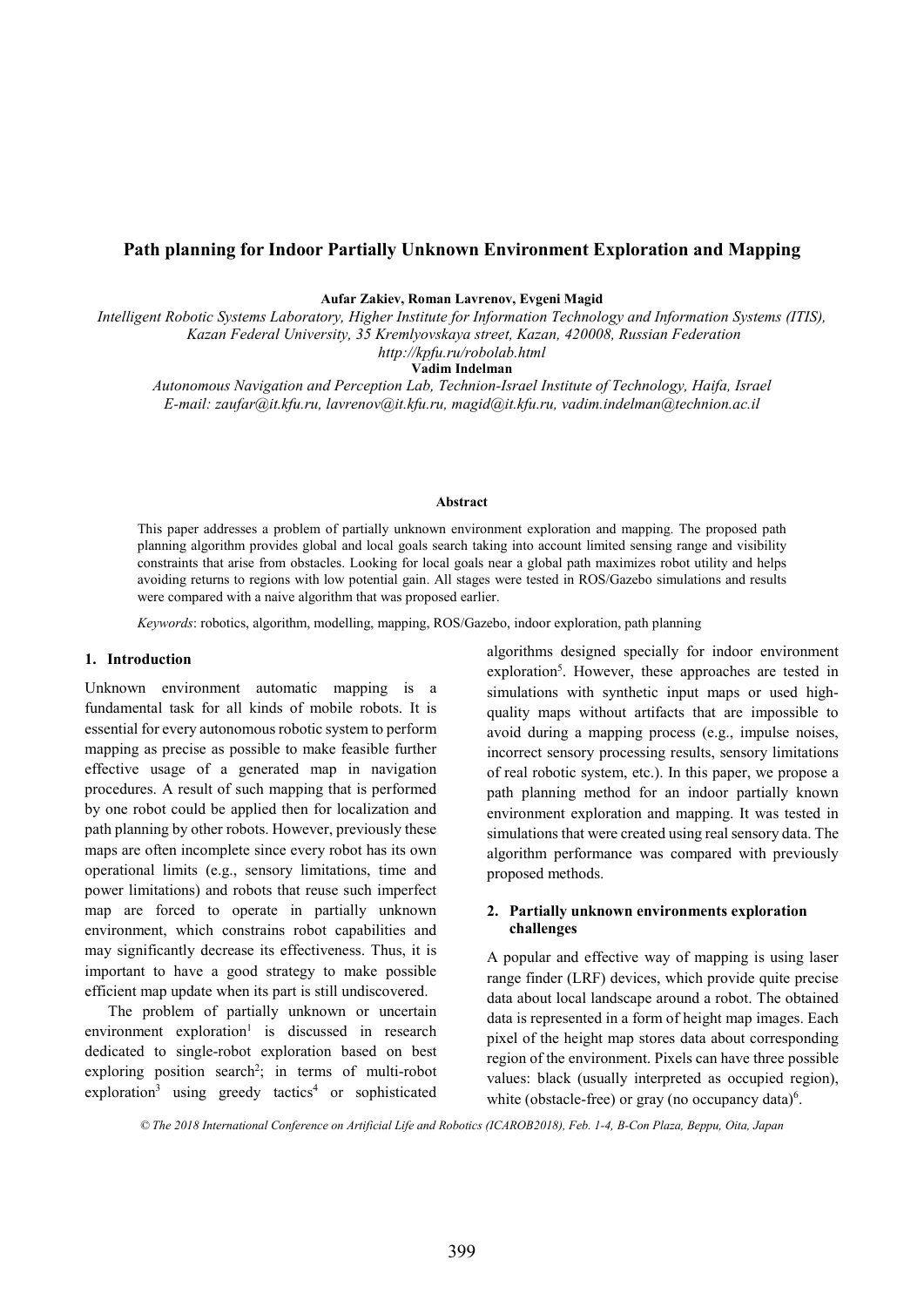# **Path planning for Indoor Partially Unknown Environment Exploration and Mapping**

**Aufar Zakiev, Roman Lavrenov, Evgeni Magid** 

*Intelligent Robotic Systems Laboratory, Higher Institute for Information Technology and Information Systems (ITIS), Kazan Federal University, 35 Kremlyovskaya street, Kazan, 420008, Russian Federation* 

*http://kpfu.ru/robolab.html* 

**Vadim Indelman**

*Autonomous Navigation and Perception Lab, Technion-Israel Institute of Technology, Haifa, Israel E-mail: zaufar@it.kfu.ru, lavrenov@it.kfu.ru, magid@it.kfu.ru, vadim.indelman@technion.ac.il* 

## **Abstract**

This paper addresses a problem of partially unknown environment exploration and mapping. The proposed path planning algorithm provides global and local goals search taking into account limited sensing range and visibility constraints that arise from obstacles. Looking for local goals near a global path maximizes robot utility and helps avoiding returns to regions with low potential gain. All stages were tested in ROS/Gazebo simulations and results were compared with a naive algorithm that was proposed earlier.

*Keywords*: robotics, algorithm, modelling, mapping, ROS/Gazebo, indoor exploration, path planning

## **1. Introduction**

Unknown environment automatic mapping is a fundamental task for all kinds of mobile robots. It is essential for every autonomous robotic system to perform mapping as precise as possible to make feasible further effective usage of a generated map in navigation procedures. A result of such mapping that is performed by one robot could be applied then for localization and path planning by other robots. However, previously these maps are often incomplete since every robot has its own operational limits (e.g., sensory limitations, time and power limitations) and robots that reuse such imperfect map are forced to operate in partially unknown environment, which constrains robot capabilities and may significantly decrease its effectiveness. Thus, it is important to have a good strategy to make possible efficient map update when its part is still undiscovered.

The problem of partially unknown or uncertain environment exploration<sup>1</sup> is discussed in research dedicated to single-robot exploration based on best exploring position search<sup>2</sup>; in terms of multi-robot exploration<sup>3</sup> using greedy tactics<sup>4</sup> or sophisticated algorithms designed specially for indoor environment exploration<sup>5</sup>. However, these approaches are tested in simulations with synthetic input maps or used highquality maps without artifacts that are impossible to avoid during a mapping process (e.g., impulse noises, incorrect sensory processing results, sensory limitations of real robotic system, etc.). In this paper, we propose a path planning method for an indoor partially known environment exploration and mapping. It was tested in simulations that were created using real sensory data. The algorithm performance was compared with previously proposed methods.

## **2. Partially unknown environments exploration challenges**

A popular and effective way of mapping is using laser range finder (LRF) devices, which provide quite precise data about local landscape around a robot. The obtained data is represented in a form of height map images. Each pixel of the height map stores data about corresponding region of the environment. Pixels can have three possible values: black (usually interpreted as occupied region), white (obstacle-free) or gray (no occupancy data)<sup>6</sup>.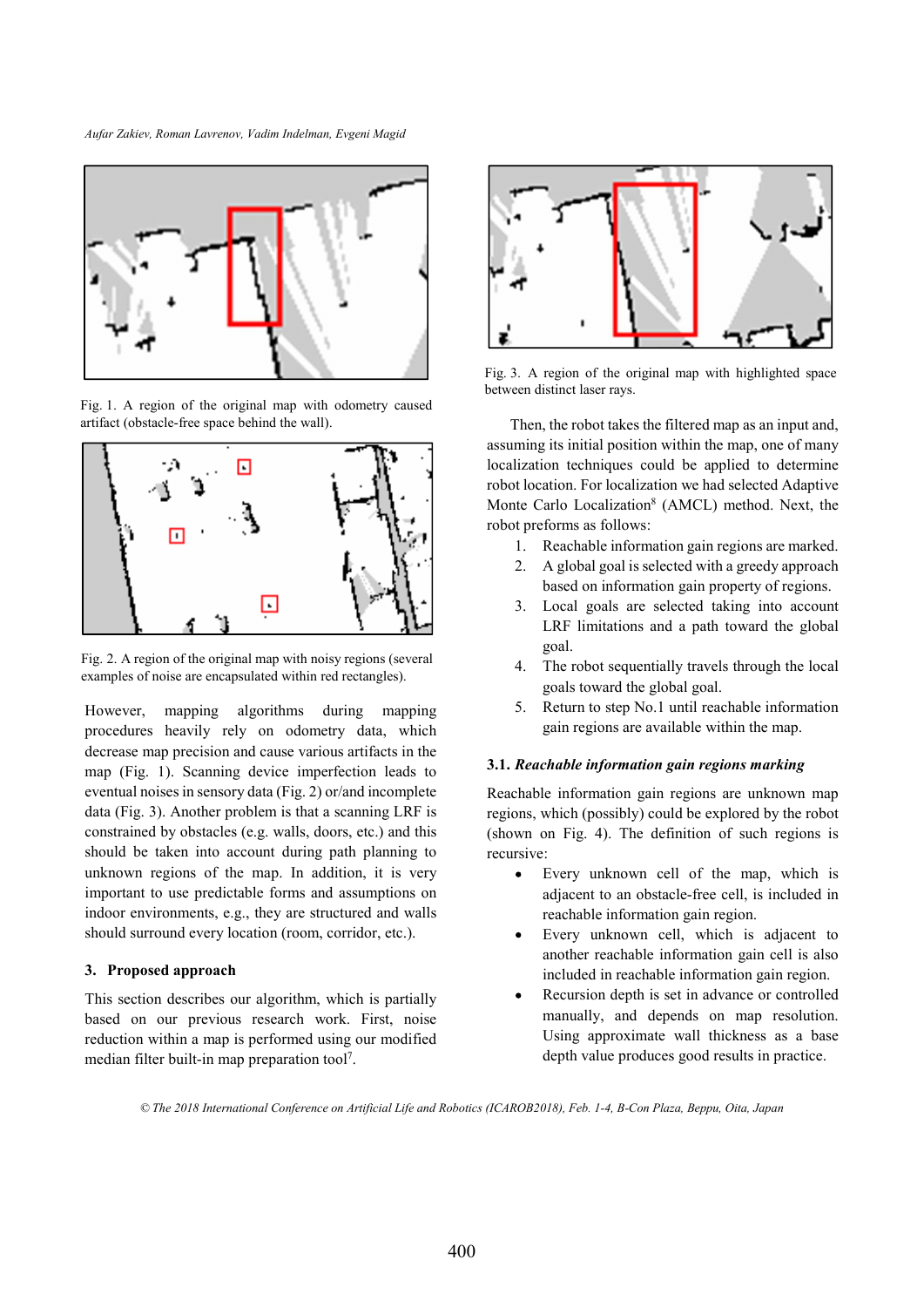*Aufar Zakiev, Roman Lavrenov, Vadim Indelman, Evgeni Magid* 



Fig. 1. A region of the original map with odometry caused artifact (obstacle-free space behind the wall).



Fig. 2. A region of the original map with noisy regions (several examples of noise are encapsulated within red rectangles).

However, mapping algorithms during mapping procedures heavily rely on odometry data, which decrease map precision and cause various artifacts in the map (Fig. 1). Scanning device imperfection leads to eventual noises in sensory data (Fig. 2) or/and incomplete data (Fig. 3). Another problem is that a scanning LRF is constrained by obstacles (e.g. walls, doors, etc.) and this should be taken into account during path planning to unknown regions of the map. In addition, it is very important to use predictable forms and assumptions on indoor environments, e.g., they are structured and walls should surround every location (room, corridor, etc.).

## **3. Proposed approach**

This section describes our algorithm, which is partially based on our previous research work. First, noise reduction within a map is performed using our modified median filter built-in map preparation tool<sup>7</sup>.



Fig. 3. A region of the original map with highlighted space between distinct laser rays.

Then, the robot takes the filtered map as an input and, assuming its initial position within the map, one of many localization techniques could be applied to determine robot location. For localization we had selected Adaptive Monte Carlo Localization<sup>8</sup> (AMCL) method. Next, the robot preforms as follows:

- 1. Reachable information gain regions are marked.
- 2. A global goal is selected with a greedy approach based on information gain property of regions.
- 3. Local goals are selected taking into account LRF limitations and a path toward the global goal.
- 4. The robot sequentially travels through the local goals toward the global goal.
- 5. Return to step No.1 until reachable information gain regions are available within the map.

## **3.1.** *Reachable information gain regions marking*

Reachable information gain regions are unknown map regions, which (possibly) could be explored by the robot (shown on Fig. 4). The definition of such regions is recursive:

- Every unknown cell of the map, which is  $\bullet$ adjacent to an obstacle-free cell, is included in reachable information gain region.
- Every unknown cell, which is adjacent to another reachable information gain cell is also included in reachable information gain region.
- Recursion depth is set in advance or controlled manually, and depends on map resolution. Using approximate wall thickness as a base depth value produces good results in practice.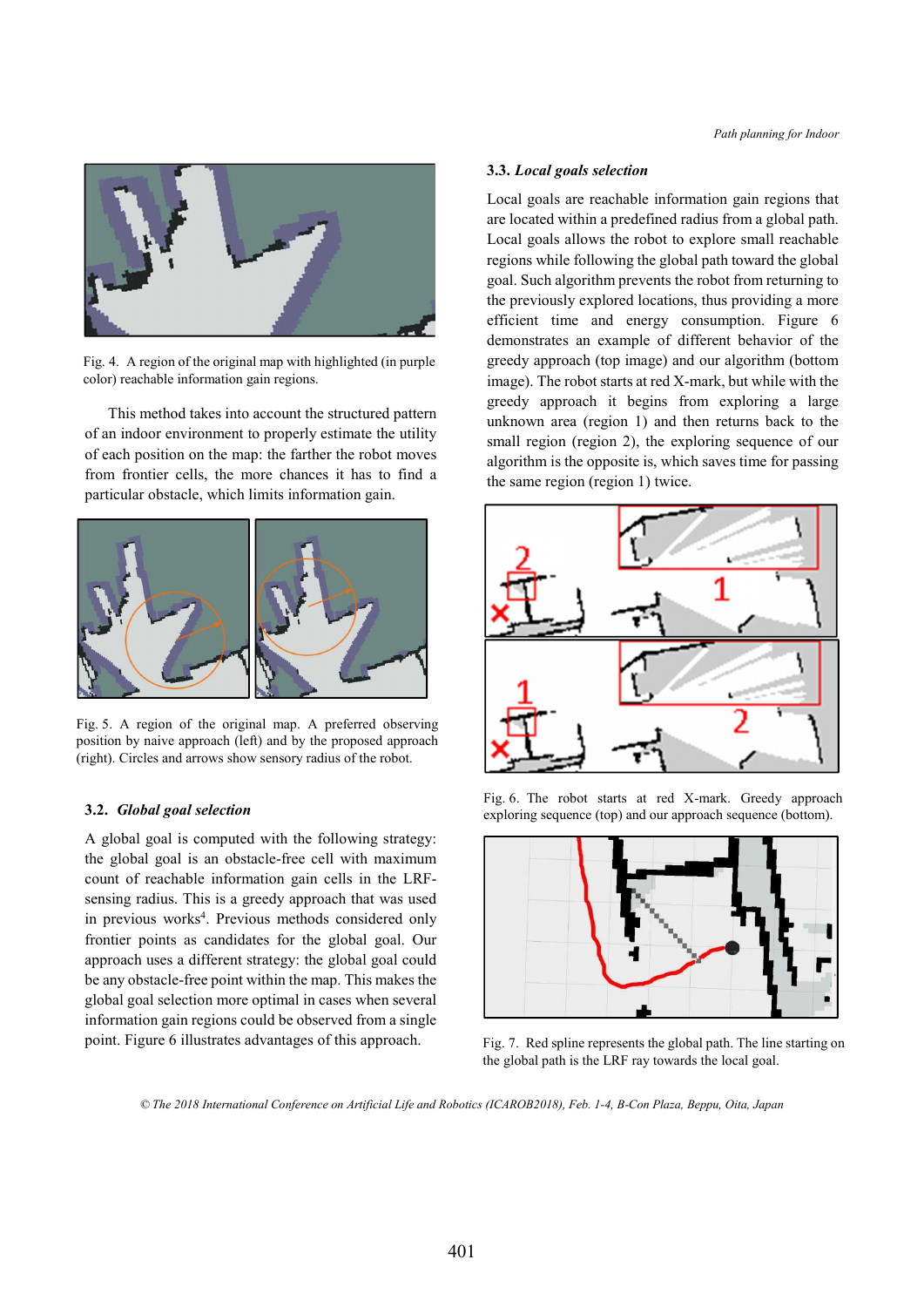

Fig. 4. A region of the original map with highlighted (in purple color) reachable information gain regions.

This method takes into account the structured pattern of an indoor environment to properly estimate the utility of each position on the map: the farther the robot moves from frontier cells, the more chances it has to find a particular obstacle, which limits information gain.



Fig. 5. A region of the original map. A preferred observing position by naive approach (left) and by the proposed approach (right). Circles and arrows show sensory radius of the robot.

## **3.2.** *Global goal selection*

A global goal is computed with the following strategy: the global goal is an obstacle-free cell with maximum count of reachable information gain cells in the LRFsensing radius. This is a greedy approach that was used in previous works<sup>4</sup>. Previous methods considered only frontier points as candidates for the global goal. Our approach uses a different strategy: the global goal could be any obstacle-free point within the map. This makes the global goal selection more optimal in cases when several information gain regions could be observed from a single point. Figure 6 illustrates advantages of this approach.

### **3.3.** *Local goals selection*

Local goals are reachable information gain regions that are located within a predefined radius from a global path. Local goals allows the robot to explore small reachable regions while following the global path toward the global goal. Such algorithm prevents the robot from returning to the previously explored locations, thus providing a more efficient time and energy consumption. Figure 6 demonstrates an example of different behavior of the greedy approach (top image) and our algorithm (bottom image). The robot starts at red X-mark, but while with the greedy approach it begins from exploring a large unknown area (region 1) and then returns back to the small region (region 2), the exploring sequence of our algorithm is the opposite is, which saves time for passing the same region (region 1) twice.



Fig. 6. The robot starts at red X-mark. Greedy approach exploring sequence (top) and our approach sequence (bottom).



Fig. 7. Red spline represents the global path. The line starting on the global path is the LRF ray towards the local goal.